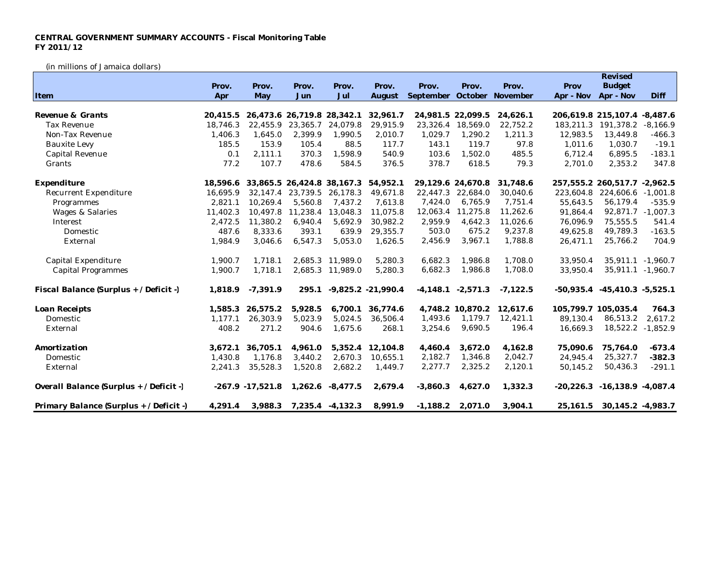## **CENTRAL GOVERNMENT SUMMARY ACCOUNTS - Fiscal Monitoring Table FY 2011/12**

(in millions of Jamaica dollars)

|                                         |          |                            |                            |                  |                      |                            |                     |            |           | Revised                            |            |
|-----------------------------------------|----------|----------------------------|----------------------------|------------------|----------------------|----------------------------|---------------------|------------|-----------|------------------------------------|------------|
|                                         | Prov.    | Prov.                      | Prov.                      | Prov.            | Prov.                | Prov.                      | Prov.               | Prov.      | Prov      | <b>Budget</b>                      |            |
| Item                                    | Apr      | May                        | Jun                        | Jul              | August               | September October November |                     |            | Apr - Nov | Apr - Nov                          | Diff       |
|                                         |          |                            |                            |                  |                      |                            |                     |            |           |                                    |            |
| Revenue & Grants                        | 20.415.5 | 26,473.6 26,719.8 28,342.1 |                            |                  | 32,961.7             | 24,981.5 22,099.5          |                     | 24,626.1   |           | 206,619.8 215,107.4 -8,487.6       |            |
| <b>Tax Revenue</b>                      | 18.746.3 | 22,455.9                   | 23,365.7                   | 24,079.8         | 29,915.9             | 23,326.4                   | 18,569.0            | 22,752.2   | 183,211.3 | 191,378.2                          | $-8,166.9$ |
| Non-Tax Revenue                         | 1,406.3  | 1,645.0                    | 2,399.9                    | 1,990.5          | 2,010.7              | 1,029.7                    | 1,290.2             | 1,211.3    | 12,983.5  | 13,449.8                           | $-466.3$   |
| <b>Bauxite Levy</b>                     | 185.5    | 153.9                      | 105.4                      | 88.5             | 117.7                | 143.1                      | 119.7               | 97.8       | 1,011.6   | 1,030.7                            | $-19.1$    |
| Capital Revenue                         | 0.1      | 2,111.1                    | 370.3                      | 1,598.9          | 540.9                | 103.6                      | 1,502.0             | 485.5      | 6,712.4   | 6,895.5                            | $-183.1$   |
| Grants                                  | 77.2     | 107.7                      | 478.6                      | 584.5            | 376.5                | 378.7                      | 618.5               | 79.3       | 2,701.0   | 2,353.2                            | 347.8      |
| Expenditure                             | 18.596.6 |                            | 33,865.5 26,424.8 38,167.3 |                  | 54,952.1             |                            | 29,129.6 24,670.8   | 31,748.6   |           | 257, 555.2 260, 517.7 - 2, 962.5   |            |
| Recurrent Expenditure                   | 16.695.9 | 32,147.4                   | 23,739.5                   | 26,178.3         | 49,671.8             |                            | 22,447.3 22,684.0   | 30.040.6   | 223,604.8 | 224.606.6                          | $-1.001.8$ |
| Programmes                              | 2,821.1  | 10,269.4                   | 5,560.8                    | 7.437.2          | 7,613.8              | 7,424.0                    | 6,765.9             | 7,751.4    | 55,643.5  | 56,179.4                           | $-535.9$   |
| <b>Wages &amp; Salaries</b>             | 11,402.3 | 10,497.8                   | 11,238.4                   | 13,048.3         | 11,075.8             | 12,063.4                   | 11,275.8            | 11,262.6   | 91,864.4  | 92,871.7                           | $-1,007.3$ |
| Interest                                | 2,472.5  | 11,380.2                   | 6,940.4                    | 5,692.9          | 30,982.2             | 2,959.9                    | 4,642.3             | 11,026.6   | 76,096.9  | 75,555.5                           | 541.4      |
| Domestic                                | 487.6    | 8,333.6                    | 393.1                      | 639.9            | 29,355.7             | 503.0                      | 675.2               | 9,237.8    | 49,625.8  | 49,789.3                           | $-163.5$   |
| External                                | 1,984.9  | 3,046.6                    | 6,547.3                    | 5,053.0          | 1,626.5              | 2,456.9                    | 3,967.1             | 1,788.8    | 26,471.1  | 25,766.2                           | 704.9      |
| Capital Expenditure                     | 1,900.7  | 1,718.1                    |                            | 2,685.3 11,989.0 | 5,280.3              | 6,682.3                    | 1.986.8             | 1.708.0    | 33,950.4  | $35,911.1 -1,960.7$                |            |
| <b>Capital Programmes</b>               | 1,900.7  | 1,718.1                    |                            | 2,685.3 11,989.0 | 5,280.3              | 6,682.3                    | 1,986.8             | 1,708.0    | 33,950.4  | 35,911.1 -1,960.7                  |            |
| Fiscal Balance (Surplus + / Deficit -)  | 1,818.9  | $-7,391.9$                 | 295.1                      |                  | $-9,825.2 -21,990.4$ |                            | $-4,148.1 -2,571.3$ | $-7,122.5$ |           | $-50,935.4$ $-45,410.3$ $-5,525.1$ |            |
| Loan Receipts                           | 1,585.3  | 26,575.2                   | 5,928.5                    | 6,700.1          | 36,774.6             |                            | 4,748.2 10,870.2    | 12,617.6   |           | 105,799.7 105,035.4                | 764.3      |
| Domestic                                | 1,177.1  | 26,303.9                   | 5,023.9                    | 5,024.5          | 36,506.4             | 1,493.6                    | 1,179.7             | 12,421.1   | 89,130.4  | 86,513.2                           | 2,617.2    |
| External                                | 408.2    | 271.2                      | 904.6                      | 1,675.6          | 268.1                | 3,254.6                    | 9,690.5             | 196.4      | 16,669.3  | 18,522.2 -1,852.9                  |            |
| Amortization                            | 3.672.1  | 36,705.1                   | 4,961.0                    |                  | 5,352.4 12,104.8     | 4,460.4                    | 3.672.0             | 4,162.8    | 75,090.6  | 75,764.0                           | $-673.4$   |
| Domestic                                | 1,430.8  | 1,176.8                    | 3,440.2                    | 2,670.3          | 10,655.1             | 2,182.7                    | 1,346.8             | 2,042.7    | 24,945.4  | 25,327.7                           | $-382.3$   |
| External                                | 2,241.3  | 35,528.3                   | 1,520.8                    | 2,682.2          | 1,449.7              | 2,277.7                    | 2,325.2             | 2,120.1    | 50,145.2  | 50,436.3                           | $-291.1$   |
| Overall Balance (Surplus + / Deficit -) |          | $-267.9 - 17,521.8$        | 1,262.6                    | $-8,477.5$       | 2,679.4              | $-3,860.3$                 | 4,627.0             | 1,332.3    |           | $-20,226.3$ $-16,138.9$ $-4,087.4$ |            |
| Primary Balance (Surplus + / Deficit -) | 4,291.4  | 3,988.3                    |                            | 7,235.4 -4,132.3 | 8,991.9              | $-1,188.2$                 | 2,071.0             | 3,904.1    | 25, 161.5 | 30, 145.2 - 4, 983.7               |            |